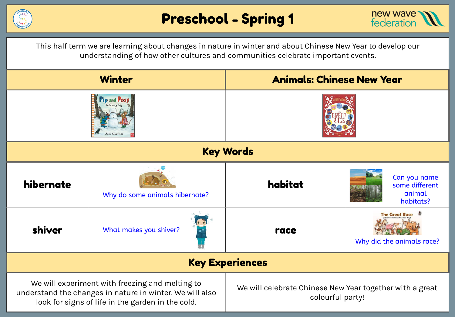



This half term we are learning about changes in nature in winter and about Chinese New Year to develop our understanding of how other cultures and communities celebrate important events.

| <b>Winter</b>                                                                                                                                                    |                                | <b>Animals: Chinese New Year</b>                                             |                                                         |  |
|------------------------------------------------------------------------------------------------------------------------------------------------------------------|--------------------------------|------------------------------------------------------------------------------|---------------------------------------------------------|--|
|                                                                                                                                                                  |                                |                                                                              |                                                         |  |
| <b>Key Words</b>                                                                                                                                                 |                                |                                                                              |                                                         |  |
| hibernate                                                                                                                                                        | Why do some animals hibernate? | habitat                                                                      | Can you name<br>some different<br>animal<br>habitats?   |  |
| shiver                                                                                                                                                           | What makes you shiver?         | race                                                                         | 御<br><b>The Great Race</b><br>Why did the animals race? |  |
| <b>Key Experiences</b>                                                                                                                                           |                                |                                                                              |                                                         |  |
| We will experiment with freezing and melting to<br>understand the changes in nature in winter. We will also<br>look for signs of life in the garden in the cold. |                                | We will celebrate Chinese New Year together with a great<br>colourful party! |                                                         |  |